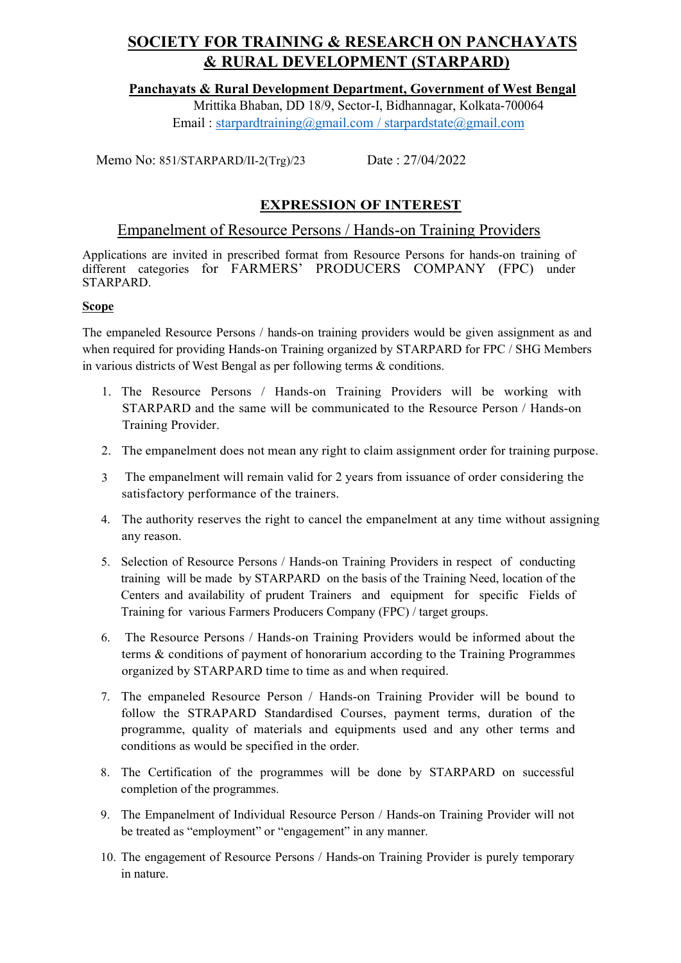## Panchayats & Rural Development Department, Government of West Bengal

Mrittika Bhaban, DD 18/9, Sector-I, Bidhannagar, Kolkata-700064 Email : starpardtraining@gmail.com / starpardstate@gmail.com

Memo No: 851/STARPARD/II-2(Trg)/23 Date : 27/04/2022

# EXPRESSION OF INTEREST

## Empanelment of Resource Persons / Hands-on Training Providers

Applications are invited in prescribed format from Resource Persons for hands-on training of different categories for FARMERS' PRODUCERS COMPANY (FPC) under STARPARD.

### Scope

The empaneled Resource Persons / hands-on training providers would be given assignment as and when required for providing Hands-on Training organized by STARPARD for FPC / SHG Members in various districts of West Bengal as per following terms & conditions.

- 1. The Resource Persons / Hands-on Training Providers will be working with STARPARD and the same will be communicated to the Resource Person / Hands-on Training Provider.
- 2. The empanelment does not mean any right to claim assignment order for training purpose.
- 3 The empanelment will remain valid for 2 years from issuance of order considering the satisfactory performance of the trainers.
- 4. The authority reserves the right to cancel the empanelment at any time without assigning any reason.
- 5. Selection of Resource Persons / Hands-on Training Providers in respect of conducting training will be made by STARPARD on the basis of the Training Need, location of the Centers and availability of prudent Trainers and equipment for specific Fields of Training for various Farmers Producers Company (FPC) / target groups.
- 6. The Resource Persons / Hands-on Training Providers would be informed about the terms & conditions of payment of honorarium according to the Training Programmes organized by STARPARD time to time as and when required.
- 7. The empaneled Resource Person / Hands-on Training Provider will be bound to follow the STRAPARD Standardised Courses, payment terms, duration of the programme, quality of materials and equipments used and any other terms and conditions as would be specified in the order.
- 8. The Certification of the programmes will be done by STARPARD on successful completion of the programmes.
- 9. The Empanelment of Individual Resource Person / Hands-on Training Provider will not be treated as "employment" or "engagement" in any manner.
- 10. The engagement of Resource Persons / Hands-on Training Provider is purely temporary in nature.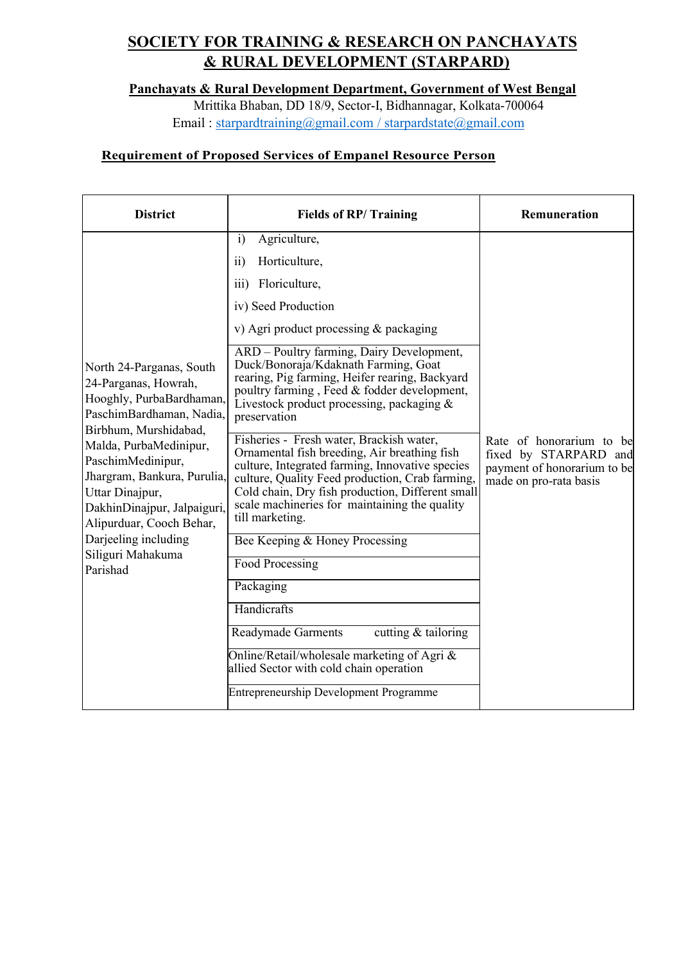Panchayats & Rural Development Department, Government of West Bengal

Mrittika Bhaban, DD 18/9, Sector-I, Bidhannagar, Kolkata-700064 Email : starpardtraining@gmail.com / starpardstate@gmail.com

## Requirement of Proposed Services of Empanel Resource Person

| <b>District</b>                                                                                                                                                                                                                                                                                                                                        | <b>Fields of RP/Training</b>                                                                                                                                                                                                                                                                                                                                                                                                                                                                                                                                                                                                                                                                                                                                                                                                                                                                                                                                                                                                            | <b>Remuneration</b>                                                                                        |
|--------------------------------------------------------------------------------------------------------------------------------------------------------------------------------------------------------------------------------------------------------------------------------------------------------------------------------------------------------|-----------------------------------------------------------------------------------------------------------------------------------------------------------------------------------------------------------------------------------------------------------------------------------------------------------------------------------------------------------------------------------------------------------------------------------------------------------------------------------------------------------------------------------------------------------------------------------------------------------------------------------------------------------------------------------------------------------------------------------------------------------------------------------------------------------------------------------------------------------------------------------------------------------------------------------------------------------------------------------------------------------------------------------------|------------------------------------------------------------------------------------------------------------|
| North 24-Parganas, South<br>24-Parganas, Howrah,<br>Hooghly, PurbaBardhaman,<br>PaschimBardhaman, Nadia,<br>Birbhum, Murshidabad,<br>Malda, PurbaMedinipur,<br>PaschimMedinipur,<br>Jhargram, Bankura, Purulia,<br>Uttar Dinajpur,<br>DakhinDinajpur, Jalpaiguri,<br>Alipurduar, Cooch Behar,<br>Darjeeling including<br>Siliguri Mahakuma<br>Parishad | Agriculture,<br>$\ddot{1}$<br>Horticulture,<br>$\overline{11}$<br>Floriculture,<br>$\overline{111}$ )<br>iv) Seed Production<br>v) Agri product processing & packaging<br>ARD - Poultry farming, Dairy Development,<br>Duck/Bonoraja/Kdaknath Farming, Goat<br>rearing, Pig farming, Heifer rearing, Backyard<br>poultry farming, Feed & fodder development,<br>Livestock product processing, packaging $&$<br>preservation<br>Fisheries - Fresh water, Brackish water,<br>Ornamental fish breeding, Air breathing fish<br>culture, Integrated farming, Innovative species<br>culture, Quality Feed production, Crab farming,<br>Cold chain, Dry fish production, Different small<br>scale machineries for maintaining the quality<br>till marketing.<br>Bee Keeping & Honey Processing<br>Food Processing<br>Packaging<br>Handicrafts<br>cutting $&$ tailoring<br><b>Readymade Garments</b><br>Online/Retail/wholesale marketing of Agri &<br>allied Sector with cold chain operation<br><b>Entrepreneurship Development Programme</b> | Rate of honorarium to be<br>fixed by STARPARD and<br>payment of honorarium to be<br>made on pro-rata basis |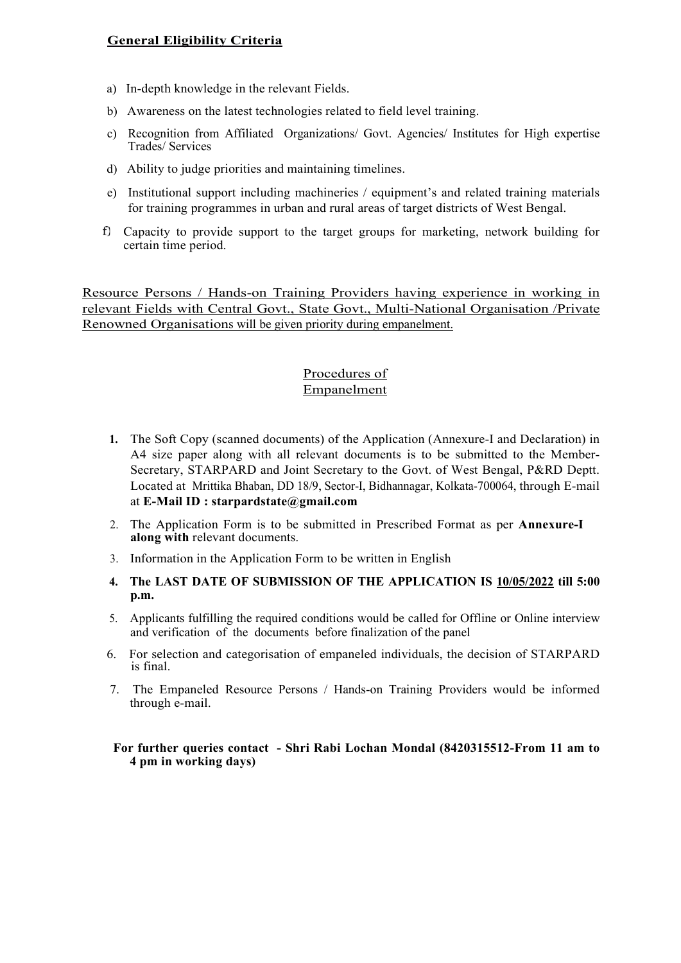### General Eligibility Criteria

- a) In-depth knowledge in the relevant Fields.
- b) Awareness on the latest technologies related to field level training.
- c) Recognition from Affiliated Organizations/ Govt. Agencies/ Institutes for High expertise Trades/ Services
- d) Ability to judge priorities and maintaining timelines.
- e) Institutional support including machineries / equipment's and related training materials for training programmes in urban and rural areas of target districts of West Bengal.
- Capacity to provide support to the target groups for marketing, network building for certain time period.

Resource Persons / Hands-on Training Providers having experience in working in relevant Fields with Central Govt., State Govt., Multi-National Organisation /Private Renowned Organisations will be given priority during empanelment.

## Procedures of Empanelment

- 1. The Soft Copy (scanned documents) of the Application (Annexure-I and Declaration) in A4 size paper along with all relevant documents is to be submitted to the Member-Secretary, STARPARD and Joint Secretary to the Govt. of West Bengal, P&RD Deptt. Located at Mrittika Bhaban, DD 18/9, Sector-I, Bidhannagar, Kolkata-700064, through E-mail at E-Mail ID : starpardstate@gmail.com
- 2. The Application Form is to be submitted in Prescribed Format as per Annexure-I along with relevant documents.
- 3. Information in the Application Form to be written in English
- 4. The LAST DATE OF SUBMISSION OF THE APPLICATION IS 10/05/2022 till 5:00 p.m.
- 5. Applicants fulfilling the required conditions would be called for Offline or Online interview and verification of the documents before finalization of the panel
- 6. For selection and categorisation of empaneled individuals, the decision of STARPARD is final.
- 7. The Empaneled Resource Persons / Hands-on Training Providers would be informed through e-mail.

 For further queries contact - Shri Rabi Lochan Mondal (8420315512-From 11 am to 4 pm in working days)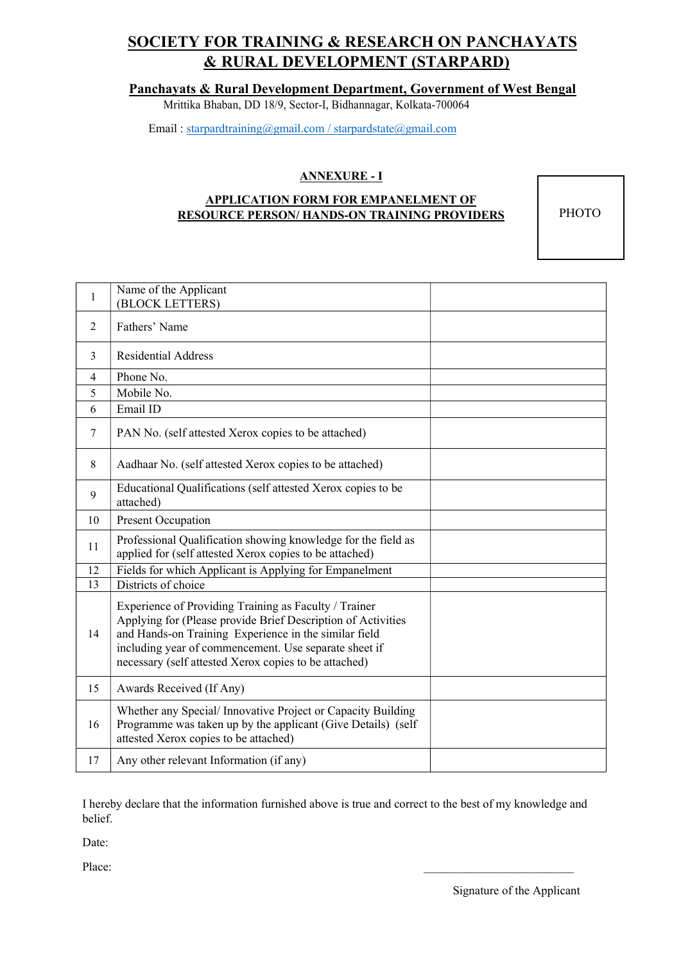### Panchayats & Rural Development Department, Government of West Bengal

Mrittika Bhaban, DD 18/9, Sector-I, Bidhannagar, Kolkata-700064

Email : starpardtraining@gmail.com / starpardstate@gmail.com

### ANNEXURE - I

#### APPLICATION FORM FOR EMPANELMENT OF RESOURCE PERSON/ HANDS-ON TRAINING PROVIDERS

**PHOTO** 

| $\mathbf{1}$   | Name of the Applicant<br>(BLOCK LETTERS)                                                                                                                                                                                                                                                         |  |
|----------------|--------------------------------------------------------------------------------------------------------------------------------------------------------------------------------------------------------------------------------------------------------------------------------------------------|--|
| 2              | Fathers' Name                                                                                                                                                                                                                                                                                    |  |
| 3              | <b>Residential Address</b>                                                                                                                                                                                                                                                                       |  |
| $\overline{4}$ | Phone No.                                                                                                                                                                                                                                                                                        |  |
| 5              | Mobile No.                                                                                                                                                                                                                                                                                       |  |
| 6              | Email ID                                                                                                                                                                                                                                                                                         |  |
| 7              | PAN No. (self attested Xerox copies to be attached)                                                                                                                                                                                                                                              |  |
| 8              | Aadhaar No. (self attested Xerox copies to be attached)                                                                                                                                                                                                                                          |  |
| 9              | Educational Qualifications (self attested Xerox copies to be<br>attached)                                                                                                                                                                                                                        |  |
| 10             | Present Occupation                                                                                                                                                                                                                                                                               |  |
| 11             | Professional Qualification showing knowledge for the field as<br>applied for (self attested Xerox copies to be attached)                                                                                                                                                                         |  |
| 12             | Fields for which Applicant is Applying for Empanelment                                                                                                                                                                                                                                           |  |
| 13             | Districts of choice                                                                                                                                                                                                                                                                              |  |
| 14             | Experience of Providing Training as Faculty / Trainer<br>Applying for (Please provide Brief Description of Activities<br>and Hands-on Training Experience in the similar field<br>including year of commencement. Use separate sheet if<br>necessary (self attested Xerox copies to be attached) |  |
| 15             | Awards Received (If Any)                                                                                                                                                                                                                                                                         |  |
| 16             | Whether any Special/Innovative Project or Capacity Building<br>Programme was taken up by the applicant (Give Details) (self<br>attested Xerox copies to be attached)                                                                                                                             |  |
| 17             | Any other relevant Information (if any)                                                                                                                                                                                                                                                          |  |

I hereby declare that the information furnished above is true and correct to the best of my knowledge and belief.

Date:

Place:

Signature of the Applicant